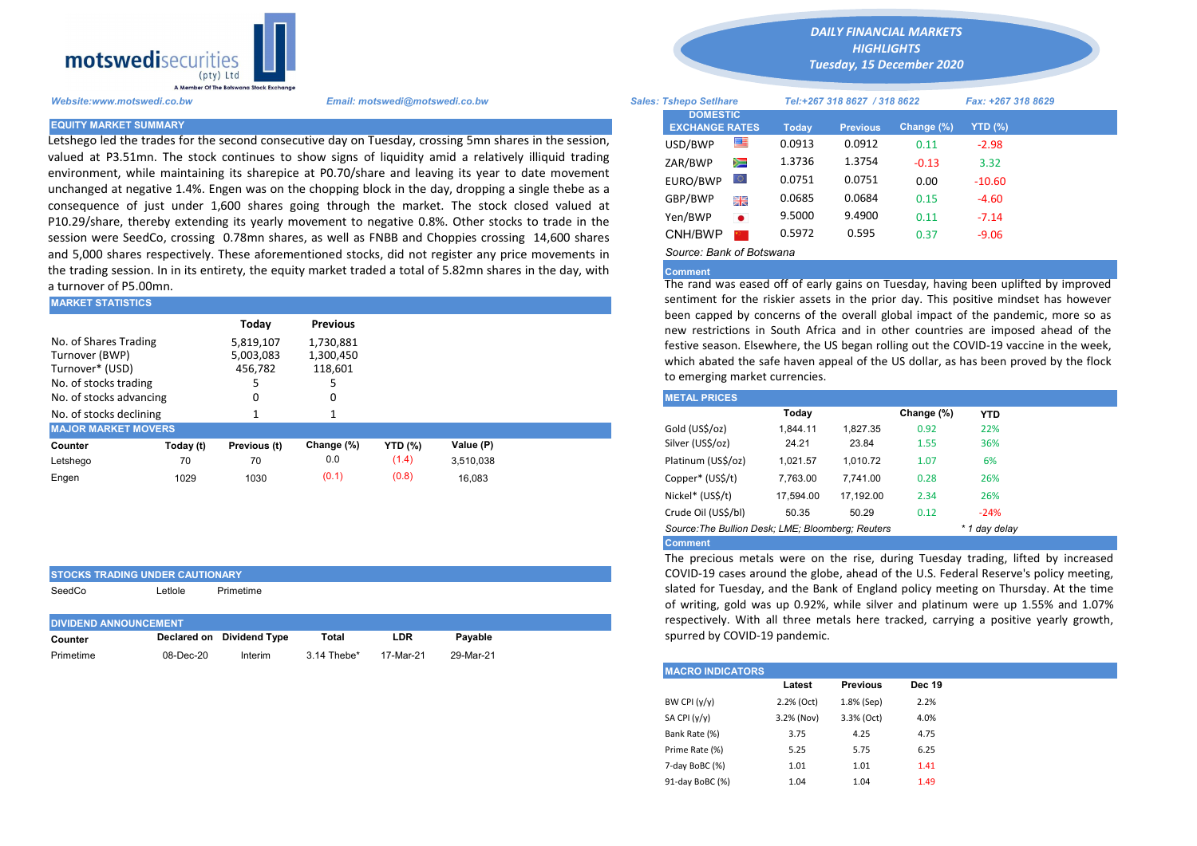

Letshego led the trades for the second consecutive day on Tuesday, crossing 5mn shares in the session, valued at P3.51mn. The stock continues to show signs of liquidity amid a relatively illiquid trading environment, while maintaining its sharepice at P0.70/share and leaving its year to date movement unchanged at negative 1.4%. Engen was on the chopping block in the day, dropping a single thebe as a consequence of just under 1,600 shares going through the market. The stock closed valued at P10.29/share, thereby extending its yearly movement to negative 0.8%. Other stocks to trade in the session were SeedCo, crossing 0.78mn shares, as well as FNBB and Choppies crossing 14,600 shares and 5,000 shares respectively. These aforementioned stocks, did not register any price movements in the trading session. In in its entirety, the equity market traded a total of 5.82mn shares in the day, with a turnover of P5.00mn.

| <b>IMARKET STATISTICS</b>                                                           |           |                                   |                                   | sentiment for the riskier assets in the prior day. This positive mind |           |  |                                                                                                                                                                                                                                                                                                                            |          |          |            |            |  |  |
|-------------------------------------------------------------------------------------|-----------|-----------------------------------|-----------------------------------|-----------------------------------------------------------------------|-----------|--|----------------------------------------------------------------------------------------------------------------------------------------------------------------------------------------------------------------------------------------------------------------------------------------------------------------------------|----------|----------|------------|------------|--|--|
|                                                                                     |           | Today                             | <b>Previous</b>                   |                                                                       |           |  | been capped by concerns of the overall global impact of the pande<br>new restrictions in South Africa and in other countries are impose<br>festive season. Elsewhere, the US began rolling out the COVID-19 vace<br>which abated the safe haven appeal of the US dollar, as has been pro<br>to emerging market currencies. |          |          |            |            |  |  |
| No. of Shares Trading<br>Turnover (BWP)<br>Turnover* (USD)<br>No. of stocks trading |           | 5,819,107<br>5,003,083<br>456,782 | 1,730,881<br>1,300,450<br>118,601 |                                                                       |           |  |                                                                                                                                                                                                                                                                                                                            |          |          |            |            |  |  |
| No. of stocks advancing                                                             |           | 0                                 |                                   |                                                                       |           |  | <b>METAL PRICES</b>                                                                                                                                                                                                                                                                                                        |          |          |            |            |  |  |
| No. of stocks declining                                                             |           |                                   |                                   |                                                                       |           |  |                                                                                                                                                                                                                                                                                                                            | Today    |          | Change (%) | <b>YTD</b> |  |  |
| <b>MAJOR MARKET MOVERS</b>                                                          |           |                                   |                                   |                                                                       |           |  | Gold (US\$/oz)                                                                                                                                                                                                                                                                                                             | 1,844.11 | 1.827.35 | 0.92       | 22%        |  |  |
| Counter                                                                             | Today (t) | Previous (t)                      | Change (%)                        | <b>YTD</b> (%)                                                        | Value (P) |  | Silver (US\$/oz)                                                                                                                                                                                                                                                                                                           | 24.21    | 23.84    | 1.55       | 36%        |  |  |
| Letshego                                                                            | 70        | 70                                | 0.0                               | (1.4)                                                                 | 3.510.038 |  | Platinum (US\$/oz)                                                                                                                                                                                                                                                                                                         | 1.021.57 | 1.010.72 | 1.07       | 6%         |  |  |
| Engen                                                                               | 1029      | 1030                              | (0.1)                             | (0.8)                                                                 | 16.083    |  | Copper* (US\$/t)                                                                                                                                                                                                                                                                                                           | 7,763.00 | 7.741.00 | 0.28       | 26%        |  |  |

| <b>STOCKS TRADING UNDER CAUTIONARY</b> |                      |                      |       |     |         |  |  |  |  |  |  |
|----------------------------------------|----------------------|----------------------|-------|-----|---------|--|--|--|--|--|--|
| SeedCo                                 | Primetime<br>∟etlole |                      |       |     |         |  |  |  |  |  |  |
|                                        |                      |                      |       |     |         |  |  |  |  |  |  |
| <b>DIVIDEND ANNOUNCEMENT</b>           |                      |                      |       |     |         |  |  |  |  |  |  |
|                                        |                      |                      |       |     |         |  |  |  |  |  |  |
| Counter                                | Declared on          | <b>Dividend Type</b> | Total | LDR | Payable |  |  |  |  |  |  |

*DAILY FINANCIAL MARKETS HIGHLIGHTS*

*Tuesday, 15 December 2020* 

| A Member Of the Borswand Stock Exchange |                                                                                                                                                                                                     |                               |                                          |                              |              |                 |                    |          |  |
|-----------------------------------------|-----------------------------------------------------------------------------------------------------------------------------------------------------------------------------------------------------|-------------------------------|------------------------------------------|------------------------------|--------------|-----------------|--------------------|----------|--|
| Website:www.motswedi.co.bw              | Email: motswedi@motswedi.co.bw                                                                                                                                                                      | <b>Sales: Tshepo Setlhare</b> |                                          | Tel:+267 318 8627 / 318 8622 |              |                 | Fax: +267 318 8629 |          |  |
| <b>EQUITY MARKET SUMMARY</b>            |                                                                                                                                                                                                     |                               | <b>DOMESTIC</b><br><b>EXCHANGE RATES</b> |                              | <b>Today</b> | <b>Previous</b> | Change (%)         | YTD (%)  |  |
|                                         | etshego led the trades for the second consecutive day on Tuesday, crossing 5mn shares in the session,                                                                                               |                               | USD/BWP                                  | 一                            | 0.0913       | 0.0912          | 0.11               | $-2.98$  |  |
|                                         | alued at P3.51mn. The stock continues to show signs of liquidity amid a relatively illiquid trading                                                                                                 |                               | ZAR/BWP                                  | ▓                            | 1.3736       | 1.3754          | $-0.13$            | 3.32     |  |
|                                         | environment, while maintaining its sharepice at P0.70/share and leaving its year to date movement                                                                                                   |                               | EURO/BWP                                 | LO.                          | 0.0751       | 0.0751          | 0.00               | $-10.60$ |  |
|                                         | unchanged at negative 1.4%. Engen was on the chopping block in the day, dropping a single thebe as a<br>consequence of just under 1,600 shares going through the market. The stock closed valued at |                               | GBP/BWP                                  | 開開                           | 0.0685       | 0.0684          | 0.15               | $-4.60$  |  |
|                                         | 210.29/share, thereby extending its yearly movement to negative 0.8%. Other stocks to trade in the                                                                                                  |                               | Yen/BWP                                  | $\bullet$                    | 9.5000       | 9.4900          | 0.11               | $-7.14$  |  |
|                                         | ession were SeedCo, crossing 0.78mn shares, as well as FNBB and Choppies crossing 14,600 shares                                                                                                     |                               | CNH/BWP                                  |                              | 0.5972       | 0.595           | 0.37               | $-9.06$  |  |
|                                         | und 5.000 shares respectively. These aforementioned stocks, did not register any price movements in                                                                                                 |                               | Source: Bank of Botswana                 |                              |              |                 |                    |          |  |

## **Comment**

The rand was eased off of early gains on Tuesday, having been uplifted by improved sentiment for the riskier assets in the prior day. This positive mindset has however been capped by concerns of the overall global impact of the pandemic, more so as new restrictions in South Africa and in other countries are imposed ahead of the festive season. Elsewhere, the US began rolling out the COVID-19 vaccine in the week, which abated the safe haven appeal of the US dollar, as has been proved by the flock to emerging market currencies.

| <b>METAL PRICES</b>                               |           |           |            |               |
|---------------------------------------------------|-----------|-----------|------------|---------------|
|                                                   | Today     |           | Change (%) | <b>YTD</b>    |
| Gold (US\$/oz)                                    | 1.844.11  | 1.827.35  | 0.92       | 22%           |
| Silver (US\$/oz)                                  | 24.21     | 23.84     | 1.55       | 36%           |
| Platinum (US\$/oz)                                | 1,021.57  | 1,010.72  | 1.07       | 6%            |
| Copper* (US\$/t)                                  | 7.763.00  | 7.741.00  | 0.28       | 26%           |
| Nickel* (US\$/t)                                  | 17,594.00 | 17.192.00 | 2.34       | 26%           |
| Crude Oil (US\$/bl)                               | 50.35     | 50.29     | 0.12       | $-24%$        |
| Source: The Bullion Desk; LME; Bloomberg: Reuters |           |           |            | * 1 day delay |
| <b>Comment</b>                                    |           |           |            |               |

The precious metals were on the rise, during Tuesday trading, lifted by increased COVID-19 cases around the globe, ahead of the U.S. Federal Reserve's policy meeting, slated for Tuesday, and the Bank of England policy meeting on Thursday. At the time of writing, gold was up 0.92%, while silver and platinum were up 1.55% and 1.07% respectively. With all three metals here tracked, carrying a positive yearly growth, spurred by COVID-19 pandemic.

| <b>IMACRO INDICATORS</b> |            |                 |               |
|--------------------------|------------|-----------------|---------------|
|                          | Latest     | <b>Previous</b> | <b>Dec 19</b> |
| BW CPI $(y/y)$           | 2.2% (Oct) | 1.8% (Sep)      | 2.2%          |
| SA CPI $(y/y)$           | 3.2% (Nov) | 3.3% (Oct)      | 4.0%          |
| Bank Rate (%)            | 3.75       | 4.25            | 4.75          |
| Prime Rate (%)           | 5.25       | 5.75            | 6.25          |
| 7-day BoBC (%)           | 1.01       | 1.01            | 1.41          |
| 91-day BoBC (%)          | 1.04       | 1.04            | 1.49          |